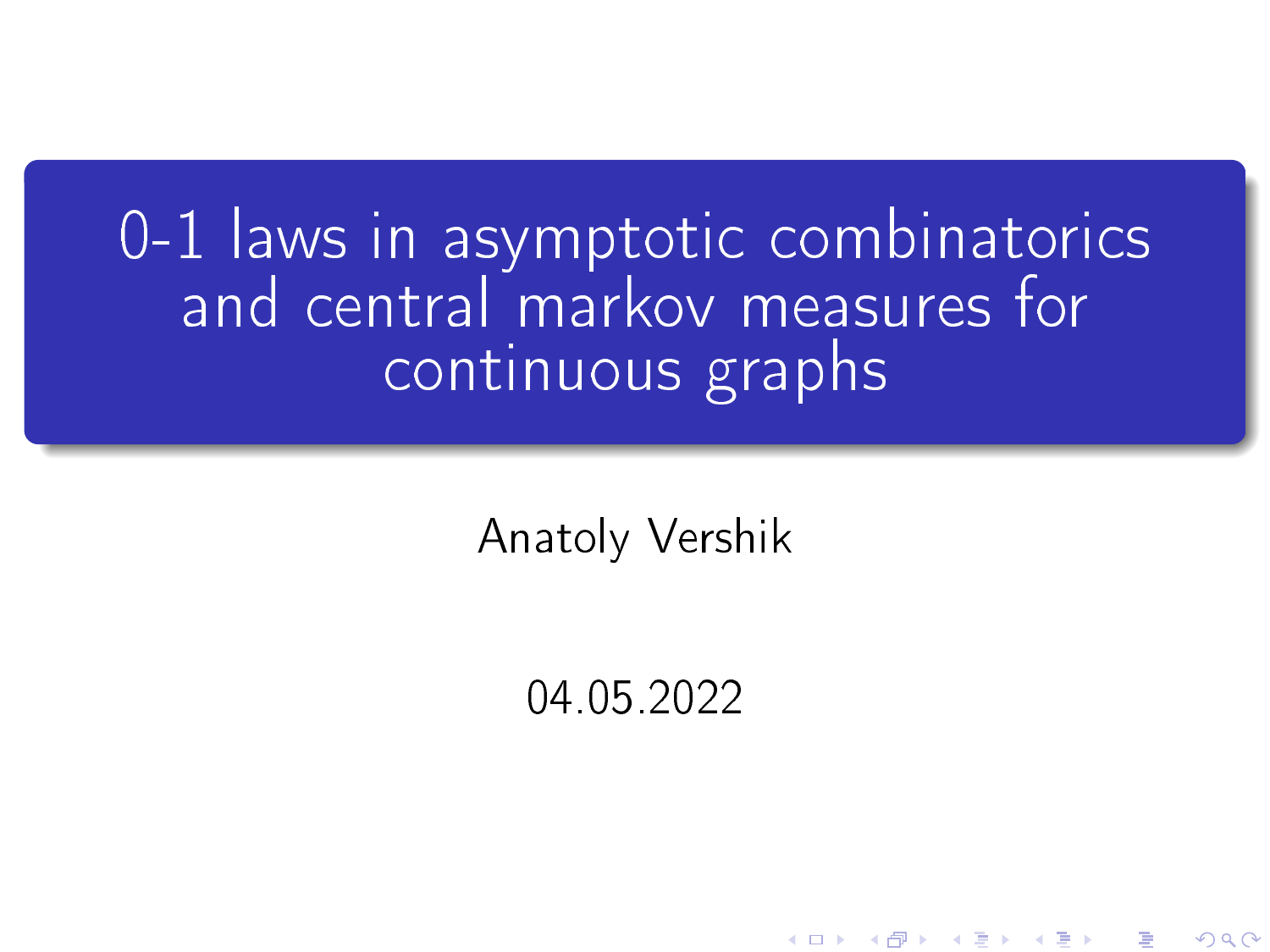## 0-1 laws in asymptotic combinatorics and central markov measures for continuous graphs

Anatoly Vershik

04.05.2022

K ロ X K 御 X K 평 X K 평 X ( 평 X )

 $2Q$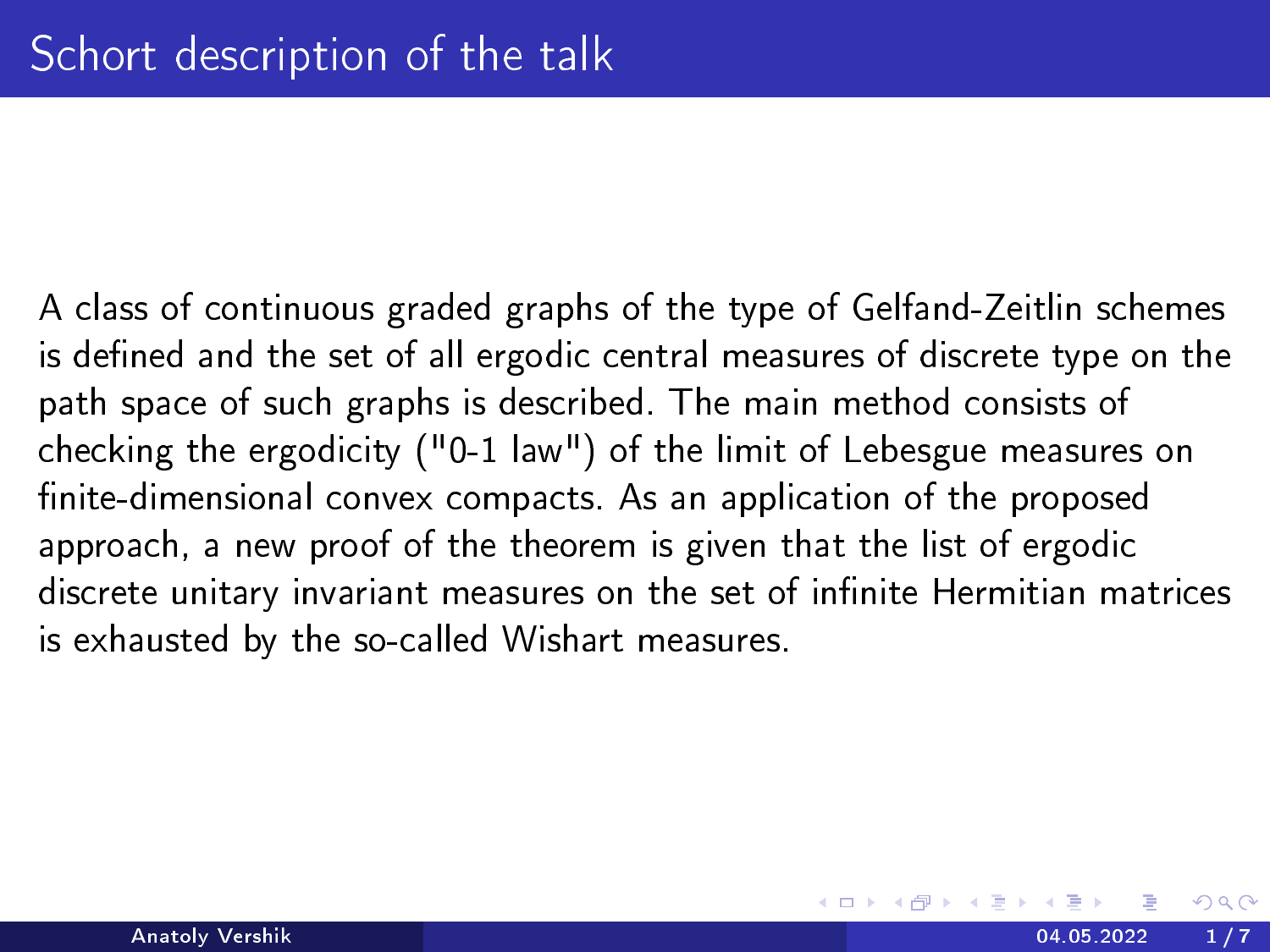A class of continuous graded graphs of the type of Gelfand-Zeitlin schemes is defined and the set of all ergodic central measures of discrete type on the path space of such graphs is described. The main method consists of checking the ergodicity ("0-1 law") of the limit of Lebesgue measures on finite-dimensional convex compacts. As an application of the proposed approach, a new proof of the theorem is given that the list of ergodic discrete unitary invariant measures on the set of infinite Hermitian matrices is exhausted by the so-called Wishart measures.

つへへ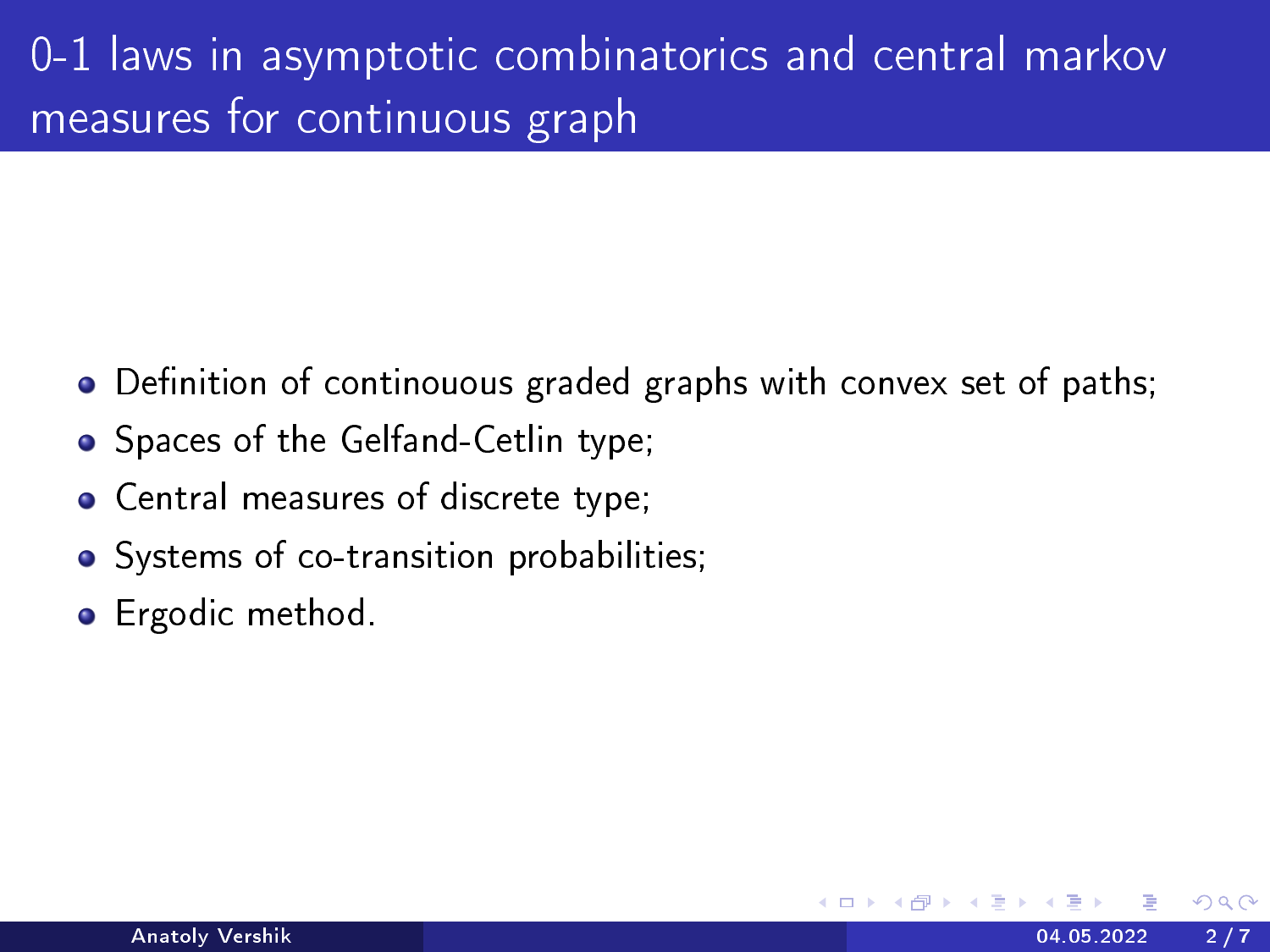## 0-1 laws in asymptotic combinatorics and central markov measures for continuous graph

- $\bullet$  Definition of continouous graded graphs with convex set of paths;
- Spaces of the Gelfand-Cetlin type;
- Central measures of discrete type;
- Systems of co-transition probabilities;
- **•** Ergodic method.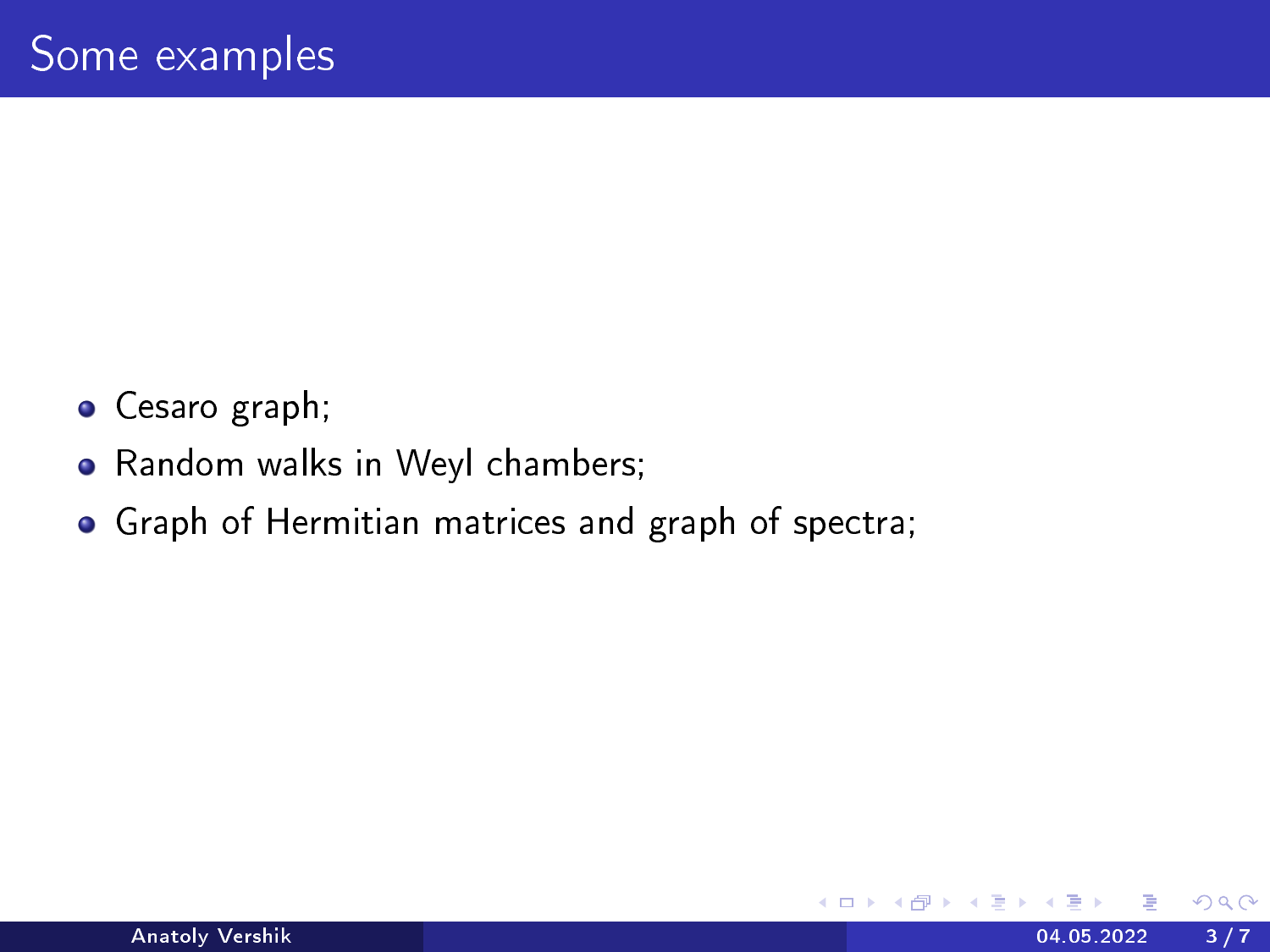- Cesaro graph;
- Random walks in Weyl chambers;
- Graph of Hermitian matrices and graph of spectra;

4 0 8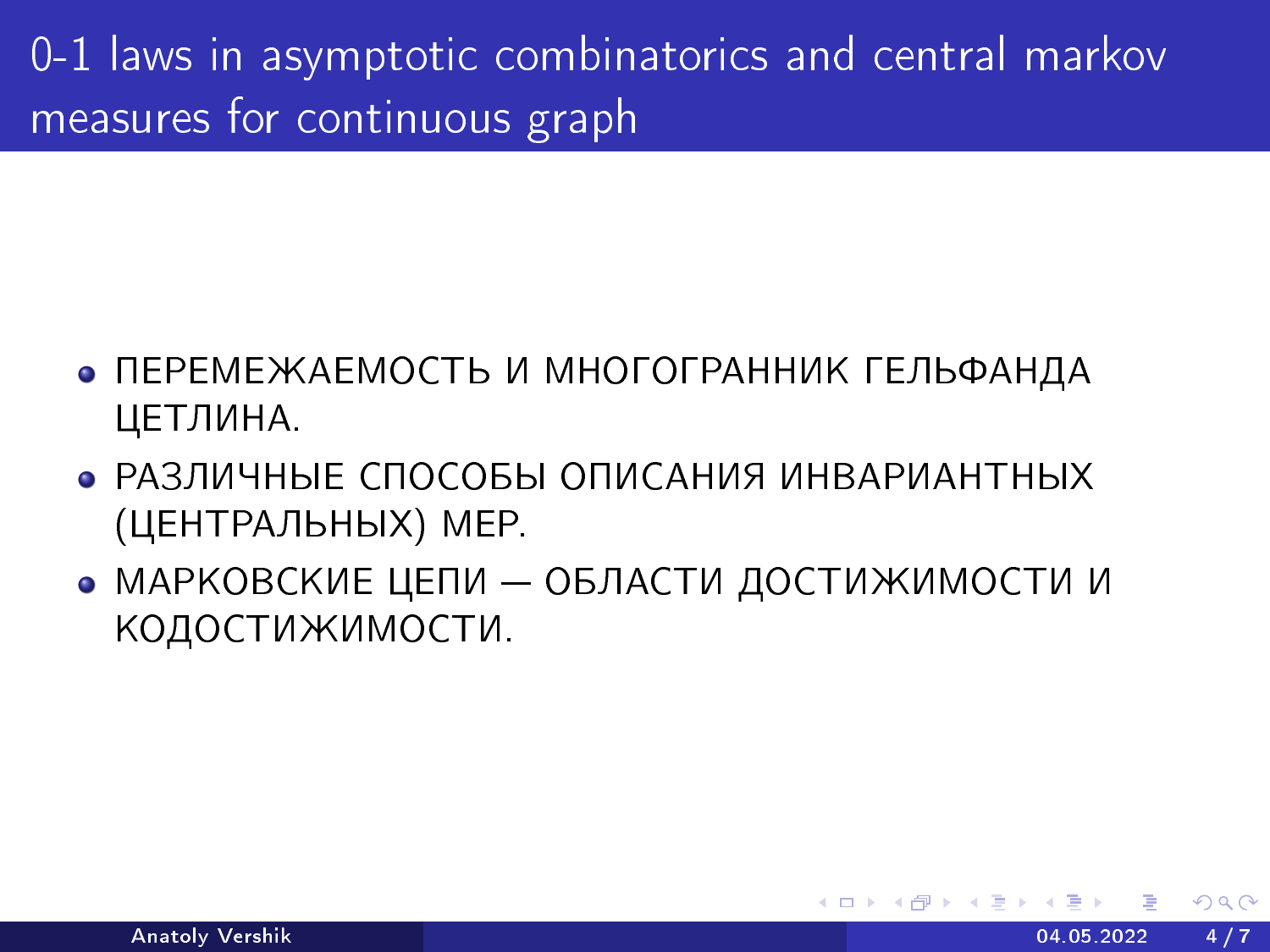0-1 laws in asymptotic combinatorics and central markov measures for continuous graph

- ПЕРЕМЕЖАЕМОСТЬ И МНОГОГРАННИК ГЕЛЬФАНДА ЦЕТЛИНА.
- РАЗЛИЧНЫЕ СПОСОБЫ ОПИСАНИЯ ИНВАРИАНТНЫХ (ЦЕНТРАЛЬНЫХ) МЕР.
- МАРКОВСКИЕ ЦЕПИ ОБЛАСТИ ДОСТИЖИМОСТИ И КОДОСТИЖИМОСТИ.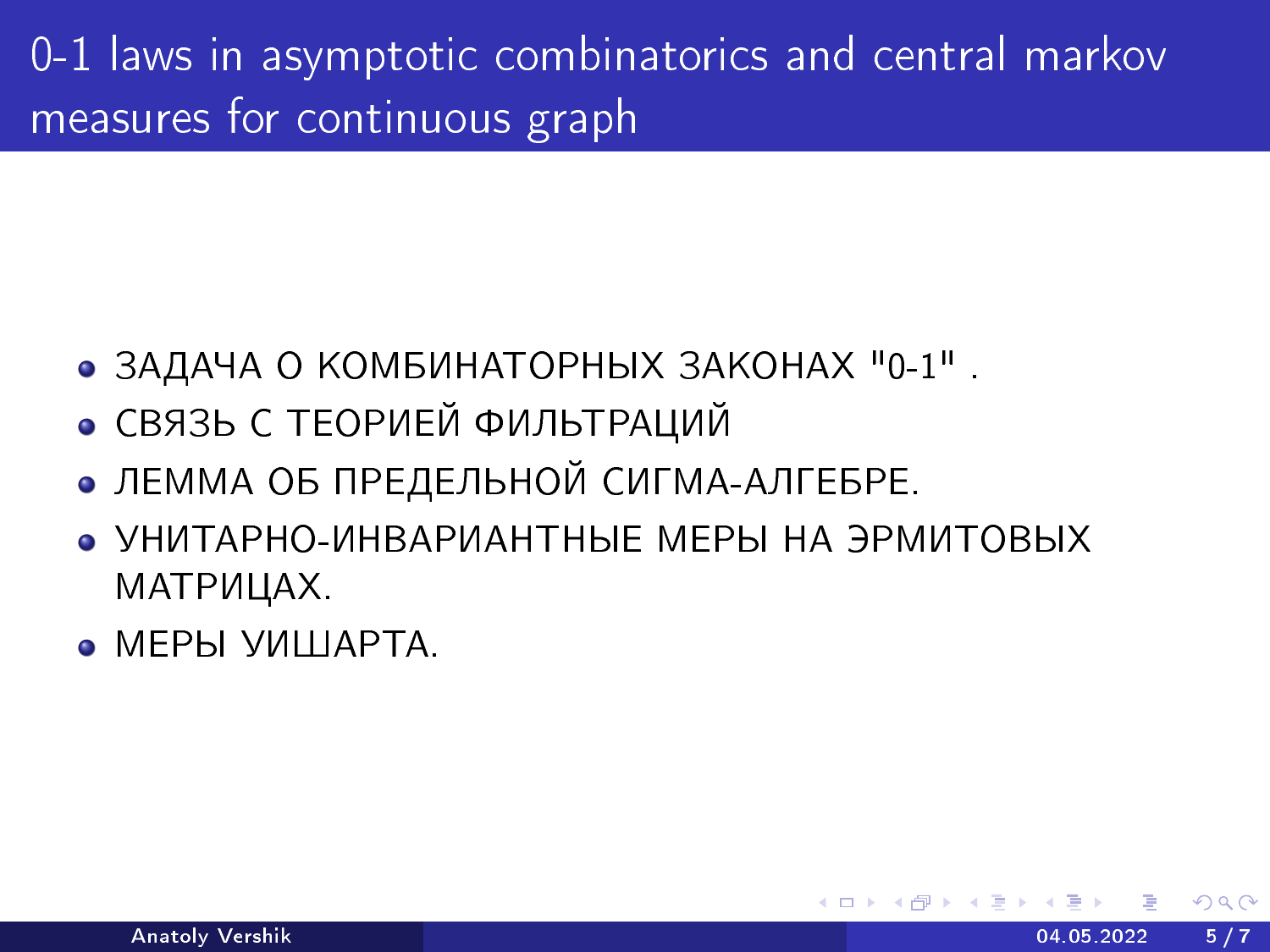0-1 laws in asymptotic combinatorics and central markov measures for continuous graph

- ЗАДАЧА О КОМБИНАТОРНЫХ ЗАКОНАХ "0-1".
- СВЯЗЬ С ТЕОРИЕЙ ФИЛЬТРАЦИЙ
- ЛЕММА ОБ ПРЕДЕЛЬНОЙ СИГМА-АЛГЕБРЕ.
- УНИТАРНО-ИНВАРИАНТНЫЕ МЕРЫ НА ЭРМИТОВЫХ MATPИЦAX.
- $\bullet$  MEPH УИШАРТА.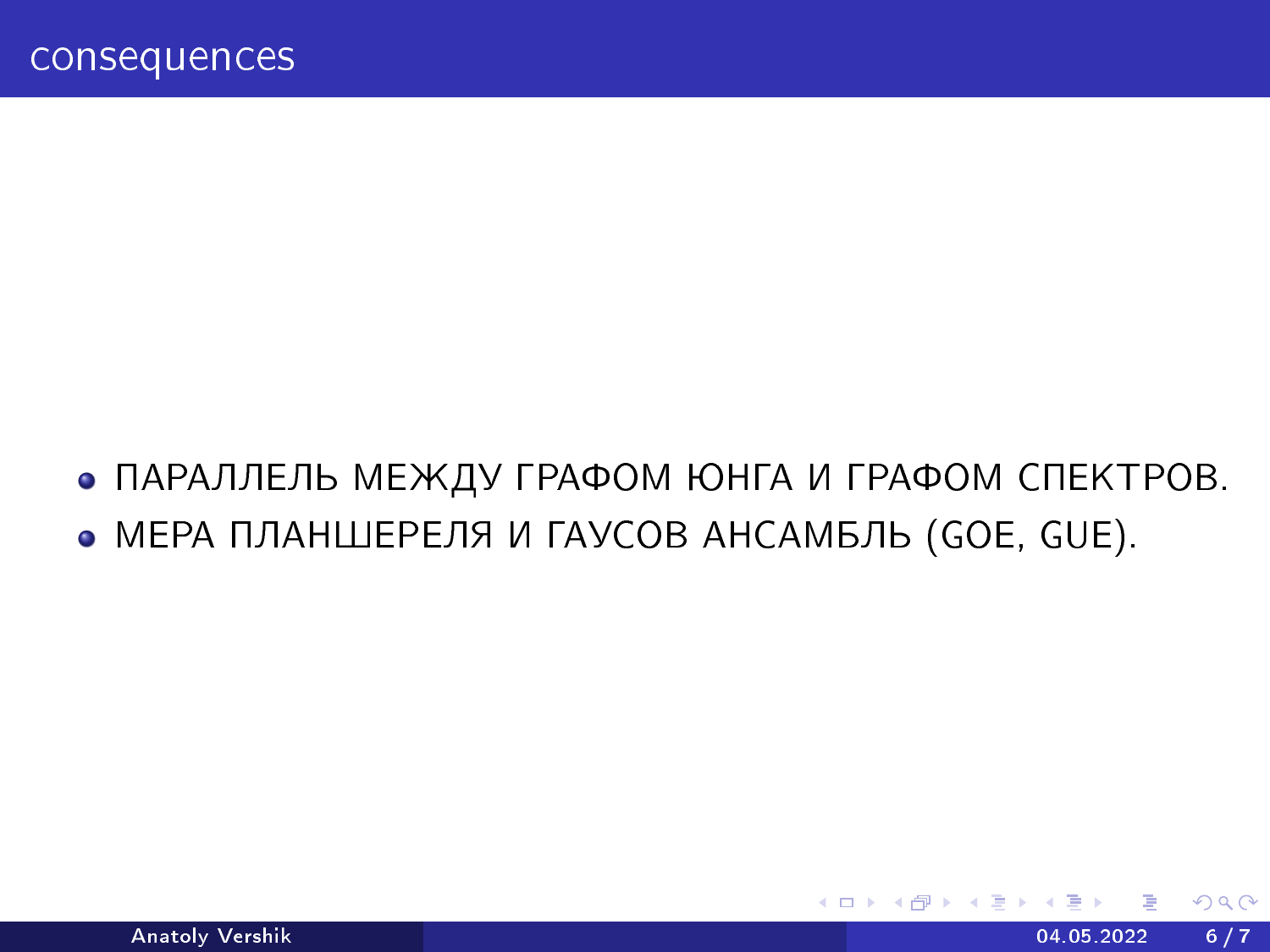• ПАРАЛЛЕЛЬ МЕЖДУ ГРАФОМ ЮНГА И ГРАФОМ СПЕКТРОВ.

4 **D F** 

• МЕРА ПЛАНШЕРЕЛЯ И ГАУСОВ АНСАМБЛЬ (GOE, GUE).